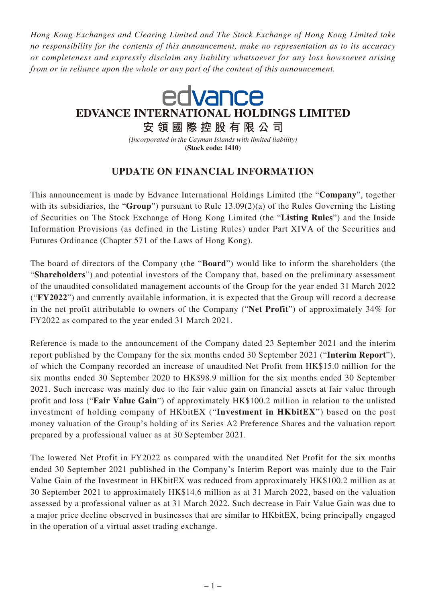*Hong Kong Exchanges and Clearing Limited and The Stock Exchange of Hong Kong Limited take no responsibility for the contents of this announcement, make no representation as to its accuracy or completeness and expressly disclaim any liability whatsoever for any loss howsoever arising from or in reliance upon the whole or any part of the content of this announcement.*

## edvance **EDVANCE INTERNATIONAL HOLDINGS LIMITED** 安領國際控股有限公司 *(Incorporated in the Cayman Islands with limited liability)* **(Stock code: 1410)**

## **UPDATE ON FINANCIAL INFORMATION**

This announcement is made by Edvance International Holdings Limited (the "**Company**", together with its subsidiaries, the "**Group**") pursuant to Rule 13.09(2)(a) of the Rules Governing the Listing of Securities on The Stock Exchange of Hong Kong Limited (the "**Listing Rules**") and the Inside Information Provisions (as defined in the Listing Rules) under Part XIVA of the Securities and Futures Ordinance (Chapter 571 of the Laws of Hong Kong).

The board of directors of the Company (the "**Board**") would like to inform the shareholders (the "**Shareholders**") and potential investors of the Company that, based on the preliminary assessment of the unaudited consolidated management accounts of the Group for the year ended 31 March 2022 ("**FY2022**") and currently available information, it is expected that the Group will record a decrease in the net profit attributable to owners of the Company ("**Net Profit**") of approximately 34% for FY2022 as compared to the year ended 31 March 2021.

Reference is made to the announcement of the Company dated 23 September 2021 and the interim report published by the Company for the six months ended 30 September 2021 ("**Interim Report**"), of which the Company recorded an increase of unaudited Net Profit from HK\$15.0 million for the six months ended 30 September 2020 to HK\$98.9 million for the six months ended 30 September 2021. Such increase was mainly due to the fair value gain on financial assets at fair value through profit and loss ("**Fair Value Gain**") of approximately HK\$100.2 million in relation to the unlisted investment of holding company of HKbitEX ("**Investment in HKbitEX**") based on the post money valuation of the Group's holding of its Series A2 Preference Shares and the valuation report prepared by a professional valuer as at 30 September 2021.

The lowered Net Profit in FY2022 as compared with the unaudited Net Profit for the six months ended 30 September 2021 published in the Company's Interim Report was mainly due to the Fair Value Gain of the Investment in HKbitEX was reduced from approximately HK\$100.2 million as at 30 September 2021 to approximately HK\$14.6 million as at 31 March 2022, based on the valuation assessed by a professional valuer as at 31 March 2022. Such decrease in Fair Value Gain was due to a major price decline observed in businesses that are similar to HKbitEX, being principally engaged in the operation of a virtual asset trading exchange.